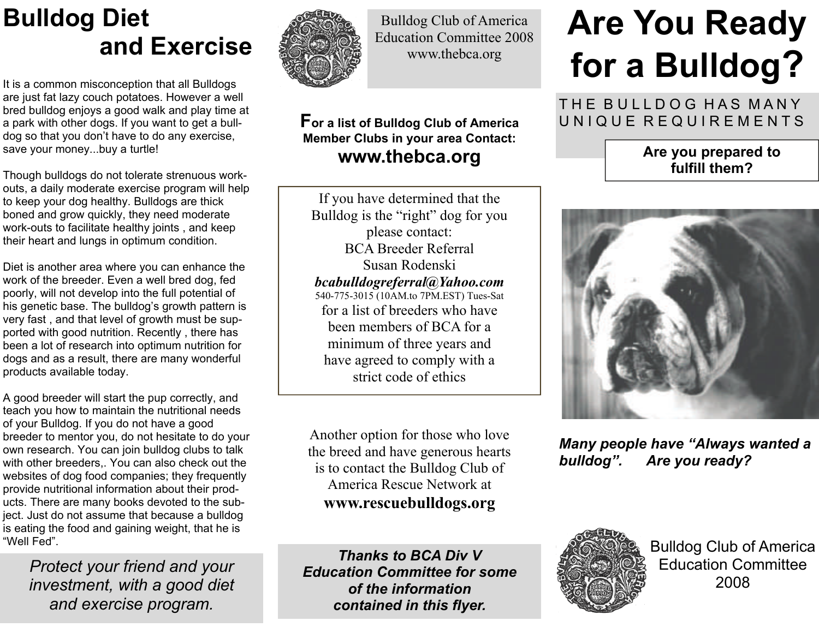## **Bulldog Diet and Exercise**

It is a common misconception that all Bulldogs are just fat lazy couch potatoes. However a well bred bulldog enjoys a good walk and play time at a park with other dogs. If you want to get a bulldog so that you don't have to do any exercise, save your money...buy a turtle!

Though bulldogs do not tolerate strenuous workouts, a daily moderate exercise program will help to keep your dog healthy. Bulldogs are thick boned and grow quickly, they need moderate work-outs to facilitate healthy joints , and keep their heart and lungs in optimum condition.

Diet is another area where you can enhance the work of the breeder. Even a well bred dog, fed poorly, will not develop into the full potential of his genetic base. The bulldog's growth pattern is very fast , and that level of growth must be supported with good nutrition. Recently , there has been a lot of research into optimum nutrition for dogs and as a result, there are many wonderful products available today.

A good breeder will start the pup correctly, and teach you how to maintain the nutritional needs of your Bulldog. If you do not have a good breeder to mentor you, do not hesitate to do your own research. You can join bulldog clubs to talk with other breeders,. You can also check out the websites of dog food companies; they frequently provide nutritional information about their products. There are many books devoted to the subject. Just do not assume that because a bulldog is eating the food and gaining weight, that he is "Well Fed".

*Protect your friend and your investment, with a good diet and exercise program.*



Bulldog Club of America Education Committee 2008 www.thebca.org

## **For a list of Bulldog Club of America Member Clubs in your area Contact: www.thebca.org**

If you have determined that the Bulldog is the "right" dog for you please contact: BCA Breeder Referral Susan Rodenski *bcabulldogreferral@Yahoo.com*  540-775-3015 (10AM.to 7PM.EST) Tues-Sat for a list of breeders who have been members of BCA for a minimum of three years and have agreed to comply with a strict code of ethics

Another option for those who love the breed and have generous hearts is to contact the Bulldog Club of America Rescue Network at **www.rescuebulldogs.org**

*Thanks to BCA Div V Education Committee for some of the information contained in this flyer.*

Bulldog Club of America Education Committee 2008

# **Are You Ready for a Bulldog ?**

THE BULLDOG HAS MANY UNIQUE REQUIREMENTS

### **Are you prepared to fulfill them?**



*Many people have "Always wanted a bulldog". Are you ready?*